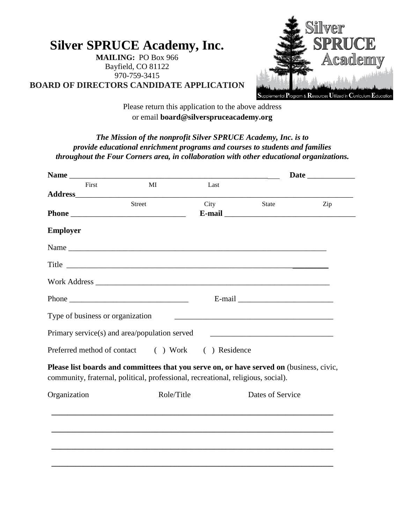**Silver SPRUCE Academy, Inc. MAILING:** PO Box 966 Bayfield, CO 81122 970-759-3415 **BOARD OF DIRECTORS CANDIDATE APPLICATION**



Please return this application to the above address or email **board@silverspruceacademy.org**

*The Mission of the nonprofit Silver SPRUCE Academy, Inc. is to provide educational enrichment programs and courses to students and families throughout the Four Corners area, in collaboration with other educational organizations.*

| First                            | MI                                                                                                                                                                           | Last                   |                                                                                                                       |     |  |
|----------------------------------|------------------------------------------------------------------------------------------------------------------------------------------------------------------------------|------------------------|-----------------------------------------------------------------------------------------------------------------------|-----|--|
|                                  |                                                                                                                                                                              |                        |                                                                                                                       |     |  |
|                                  | Street                                                                                                                                                                       | City                   | <b>State</b>                                                                                                          | Zip |  |
| <b>Employer</b>                  |                                                                                                                                                                              |                        |                                                                                                                       |     |  |
|                                  |                                                                                                                                                                              |                        |                                                                                                                       |     |  |
|                                  | Title                                                                                                                                                                        |                        |                                                                                                                       |     |  |
|                                  |                                                                                                                                                                              |                        |                                                                                                                       |     |  |
|                                  |                                                                                                                                                                              |                        |                                                                                                                       |     |  |
| Type of business or organization |                                                                                                                                                                              |                        | <u> 1989 - Johann Barbara, martin amerikan basal dan berasal dan berasal dalam basal dalam basal dalam basal dala</u> |     |  |
|                                  | Primary service(s) and area/population served                                                                                                                                |                        |                                                                                                                       |     |  |
| Preferred method of contact      |                                                                                                                                                                              | ( ) Work ( ) Residence |                                                                                                                       |     |  |
|                                  | Please list boards and committees that you serve on, or have served on (business, civic,<br>community, fraternal, political, professional, recreational, religious, social). |                        |                                                                                                                       |     |  |
| Organization                     | Role/Title                                                                                                                                                                   |                        | Dates of Service                                                                                                      |     |  |
|                                  |                                                                                                                                                                              |                        |                                                                                                                       |     |  |
|                                  |                                                                                                                                                                              |                        |                                                                                                                       |     |  |
|                                  |                                                                                                                                                                              |                        |                                                                                                                       |     |  |
|                                  |                                                                                                                                                                              |                        |                                                                                                                       |     |  |
|                                  |                                                                                                                                                                              |                        |                                                                                                                       |     |  |